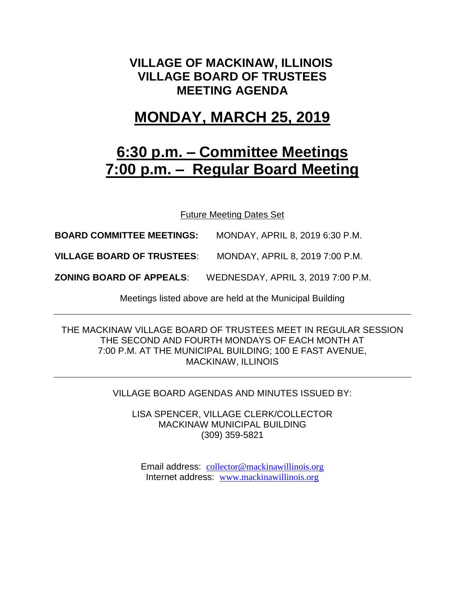# **VILLAGE OF MACKINAW, ILLINOIS VILLAGE BOARD OF TRUSTEES MEETING AGENDA**

# **MONDAY, MARCH 25, 2019**

# **6:30 p.m. – Committee Meetings 7:00 p.m. – Regular Board Meeting**

Future Meeting Dates Set

**BOARD COMMITTEE MEETINGS:** MONDAY, APRIL 8, 2019 6:30 P.M.

**VILLAGE BOARD OF TRUSTEES**: MONDAY, APRIL 8, 2019 7:00 P.M.

**ZONING BOARD OF APPEALS**: WEDNESDAY, APRIL 3, 2019 7:00 P.M.

Meetings listed above are held at the Municipal Building

THE MACKINAW VILLAGE BOARD OF TRUSTEES MEET IN REGULAR SESSION THE SECOND AND FOURTH MONDAYS OF EACH MONTH AT 7:00 P.M. AT THE MUNICIPAL BUILDING; 100 E FAST AVENUE, MACKINAW, ILLINOIS

VILLAGE BOARD AGENDAS AND MINUTES ISSUED BY:

LISA SPENCER, VILLAGE CLERK/COLLECTOR MACKINAW MUNICIPAL BUILDING (309) 359-5821

Email address: [collector@mackinawillinois.org](mailto:collector@mackinawillinois.org) Internet address: [www.mackinawillinois.org](http://www.mackinawillinois.org/)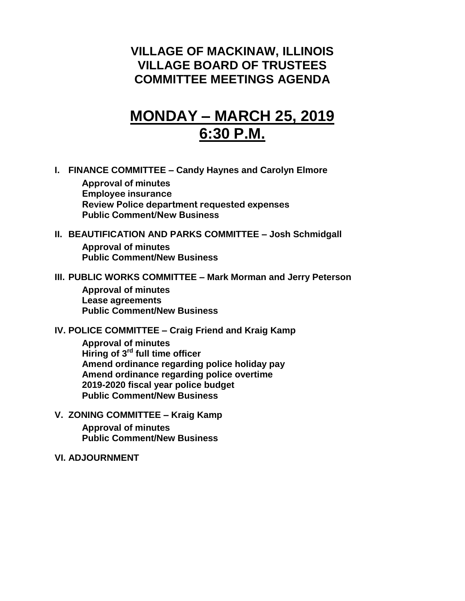# **VILLAGE OF MACKINAW, ILLINOIS VILLAGE BOARD OF TRUSTEES COMMITTEE MEETINGS AGENDA**

# **MONDAY – MARCH 25, 2019 6:30 P.M.**

**I. FINANCE COMMITTEE – Candy Haynes and Carolyn Elmore**

**Approval of minutes Employee insurance Review Police department requested expenses Public Comment/New Business**

### **II. BEAUTIFICATION AND PARKS COMMITTEE – Josh Schmidgall Approval of minutes Public Comment/New Business**

#### **III. PUBLIC WORKS COMMITTEE – Mark Morman and Jerry Peterson**

**Approval of minutes Lease agreements Public Comment/New Business**

#### **IV. POLICE COMMITTEE – Craig Friend and Kraig Kamp**

**Approval of minutes Hiring of 3rd full time officer Amend ordinance regarding police holiday pay Amend ordinance regarding police overtime 2019-2020 fiscal year police budget Public Comment/New Business**

**V. ZONING COMMITTEE – Kraig Kamp Approval of minutes**

**Public Comment/New Business**

#### **VI. ADJOURNMENT**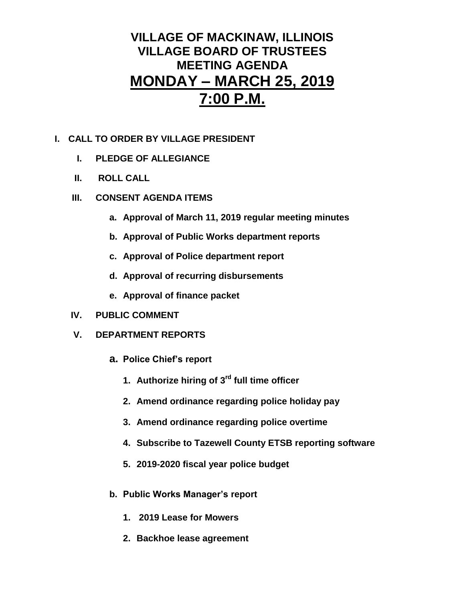# **VILLAGE OF MACKINAW, ILLINOIS VILLAGE BOARD OF TRUSTEES MEETING AGENDA MONDAY – MARCH 25, 2019 7:00 P.M.**

## **I. CALL TO ORDER BY VILLAGE PRESIDENT**

- **I. PLEDGE OF ALLEGIANCE**
- **II. ROLL CALL**
- **III. CONSENT AGENDA ITEMS** 
	- **a. Approval of March 11, 2019 regular meeting minutes**
	- **b. Approval of Public Works department reports**
	- **c. Approval of Police department report**
	- **d. Approval of recurring disbursements**
	- **e. Approval of finance packet**
- **IV. PUBLIC COMMENT**
- **V. DEPARTMENT REPORTS** 
	- **a. Police Chief's report**
		- **1. Authorize hiring of 3rd full time officer**
		- **2. Amend ordinance regarding police holiday pay**
		- **3. Amend ordinance regarding police overtime**
		- **4. Subscribe to Tazewell County ETSB reporting software**
		- **5. 2019-2020 fiscal year police budget**
	- **b. Public Works Manager's report**
		- **1. 2019 Lease for Mowers**
		- **2. Backhoe lease agreement**